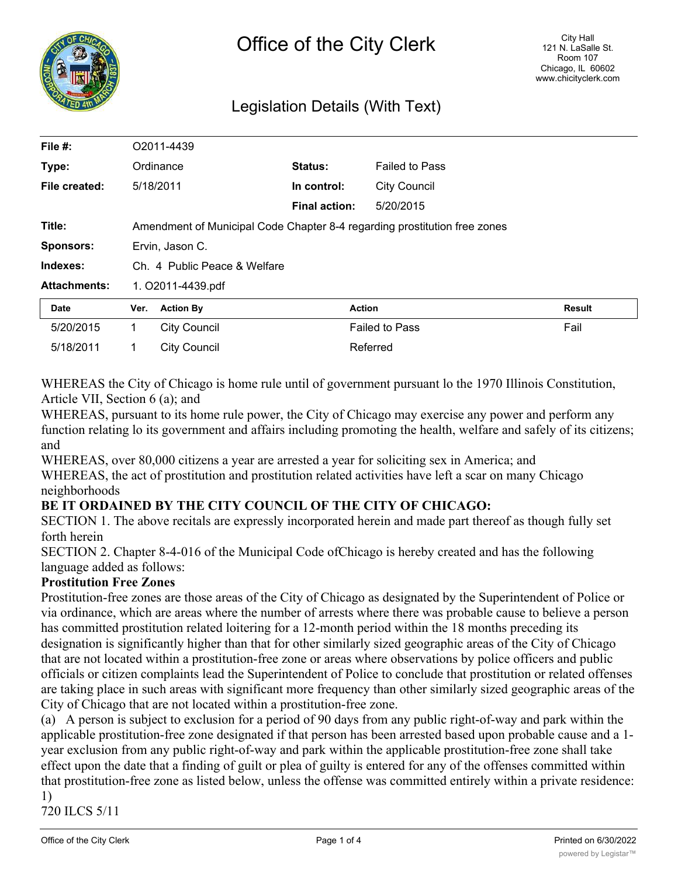

# Legislation Details (With Text)

| File #:             |                              | O2011-4439                                                                |                      |                       |               |  |
|---------------------|------------------------------|---------------------------------------------------------------------------|----------------------|-----------------------|---------------|--|
| Type:               |                              | Ordinance                                                                 | Status:              | <b>Failed to Pass</b> |               |  |
| File created:       |                              | 5/18/2011                                                                 | In control:          | <b>City Council</b>   |               |  |
|                     |                              |                                                                           | <b>Final action:</b> | 5/20/2015             |               |  |
| Title:              |                              | Amendment of Municipal Code Chapter 8-4 regarding prostitution free zones |                      |                       |               |  |
| <b>Sponsors:</b>    | Ervin, Jason C.              |                                                                           |                      |                       |               |  |
| Indexes:            | Ch. 4 Public Peace & Welfare |                                                                           |                      |                       |               |  |
| <b>Attachments:</b> | 1. O2011-4439.pdf            |                                                                           |                      |                       |               |  |
| <b>Date</b>         | Ver.                         | <b>Action By</b>                                                          |                      | Action                | <b>Result</b> |  |
| 5/20/2015           | 1                            | <b>City Council</b>                                                       |                      | <b>Failed to Pass</b> | Fail          |  |
| 5/18/2011           |                              | City Council                                                              |                      | Referred              |               |  |

WHEREAS the City of Chicago is home rule until of government pursuant lo the 1970 Illinois Constitution, Article VII, Section 6 (a); and

WHEREAS, pursuant to its home rule power, the City of Chicago may exercise any power and perform any function relating lo its government and affairs including promoting the health, welfare and safely of its citizens; and

WHEREAS, over 80,000 citizens a year are arrested a year for soliciting sex in America; and

WHEREAS, the act of prostitution and prostitution related activities have left a scar on many Chicago neighborhoods

## **BE IT ORDAINED BY THE CITY COUNCIL OF THE CITY OF CHICAGO:**

SECTION 1. The above recitals are expressly incorporated herein and made part thereof as though fully set forth herein

SECTION 2. Chapter 8-4-016 of the Municipal Code ofChicago is hereby created and has the following language added as follows:

#### **Prostitution Free Zones**

Prostitution-free zones are those areas of the City of Chicago as designated by the Superintendent of Police or via ordinance, which are areas where the number of arrests where there was probable cause to believe a person has committed prostitution related loitering for a 12-month period within the 18 months preceding its designation is significantly higher than that for other similarly sized geographic areas of the City of Chicago that are not located within a prostitution-free zone or areas where observations by police officers and public officials or citizen complaints lead the Superintendent of Police to conclude that prostitution or related offenses are taking place in such areas with significant more frequency than other similarly sized geographic areas of the City of Chicago that are not located within a prostitution-free zone.

(a) A person is subject to exclusion for a period of 90 days from any public right-of-way and park within the applicable prostitution-free zone designated if that person has been arrested based upon probable cause and a 1 year exclusion from any public right-of-way and park within the applicable prostitution-free zone shall take effect upon the date that a finding of guilt or plea of guilty is entered for any of the offenses committed within that prostitution-free zone as listed below, unless the offense was committed entirely within a private residence: 1)

720 ILCS 5/11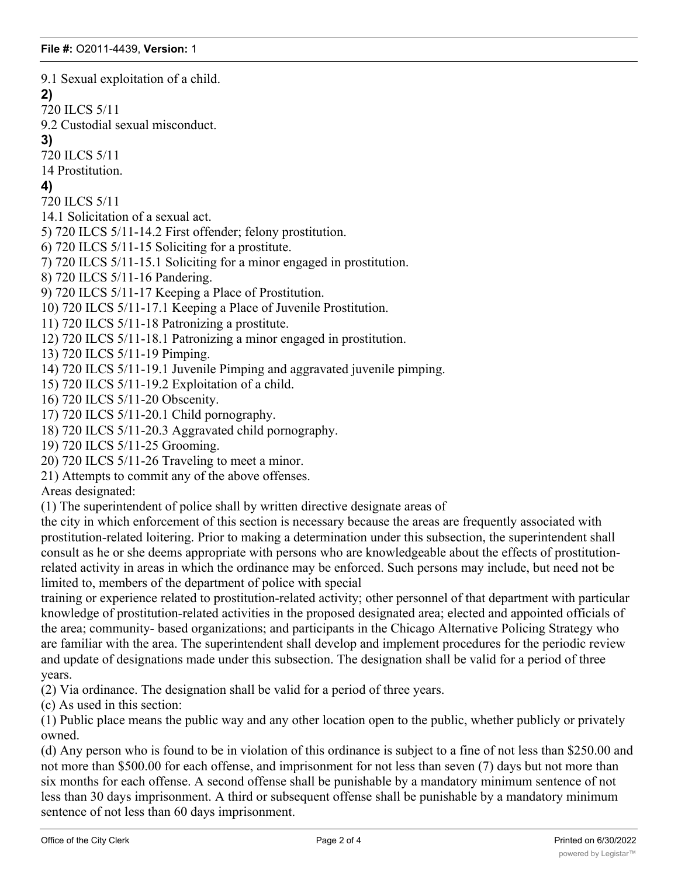9.1 Sexual exploitation of a child.

#### **2)**

720 ILCS 5/11

9.2 Custodial sexual misconduct.

**3)**

720 ILCS 5/11

14 Prostitution.

## **4)**

720 ILCS 5/11

14.1 Solicitation of a sexual act.

5) 720 ILCS 5/11-14.2 First offender; felony prostitution.

6) 720 ILCS 5/11-15 Soliciting for a prostitute.

7) 720 ILCS 5/11-15.1 Soliciting for a minor engaged in prostitution.

8) 720 ILCS 5/11-16 Pandering.

9) 720 ILCS 5/11-17 Keeping a Place of Prostitution.

10) 720 ILCS 5/11-17.1 Keeping a Place of Juvenile Prostitution.

11) 720 ILCS 5/11-18 Patronizing a prostitute.

12) 720 ILCS 5/11-18.1 Patronizing a minor engaged in prostitution.

13) 720 ILCS 5/11-19 Pimping.

14) 720 ILCS 5/11-19.1 Juvenile Pimping and aggravated juvenile pimping.

15) 720 ILCS 5/11-19.2 Exploitation of a child.

16) 720 ILCS 5/11-20 Obscenity.

17) 720 ILCS 5/11-20.1 Child pornography.

18) 720 ILCS 5/11-20.3 Aggravated child pornography.

19) 720 ILCS 5/11-25 Grooming.

20) 720 ILCS 5/11-26 Traveling to meet a minor.

21) Attempts to commit any of the above offenses.

Areas designated:

(1) The superintendent of police shall by written directive designate areas of

the city in which enforcement of this section is necessary because the areas are frequently associated with prostitution-related loitering. Prior to making a determination under this subsection, the superintendent shall consult as he or she deems appropriate with persons who are knowledgeable about the effects of prostitutionrelated activity in areas in which the ordinance may be enforced. Such persons may include, but need not be limited to, members of the department of police with special

training or experience related to prostitution-related activity; other personnel of that department with particular knowledge of prostitution-related activities in the proposed designated area; elected and appointed officials of the area; community- based organizations; and participants in the Chicago Alternative Policing Strategy who are familiar with the area. The superintendent shall develop and implement procedures for the periodic review and update of designations made under this subsection. The designation shall be valid for a period of three years.

(2) Via ordinance. The designation shall be valid for a period of three years.

(c) As used in this section:

(1) Public place means the public way and any other location open to the public, whether publicly or privately owned.

(d) Any person who is found to be in violation of this ordinance is subject to a fine of not less than \$250.00 and not more than \$500.00 for each offense, and imprisonment for not less than seven (7) days but not more than six months for each offense. A second offense shall be punishable by a mandatory minimum sentence of not less than 30 days imprisonment. A third or subsequent offense shall be punishable by a mandatory minimum sentence of not less than 60 days imprisonment.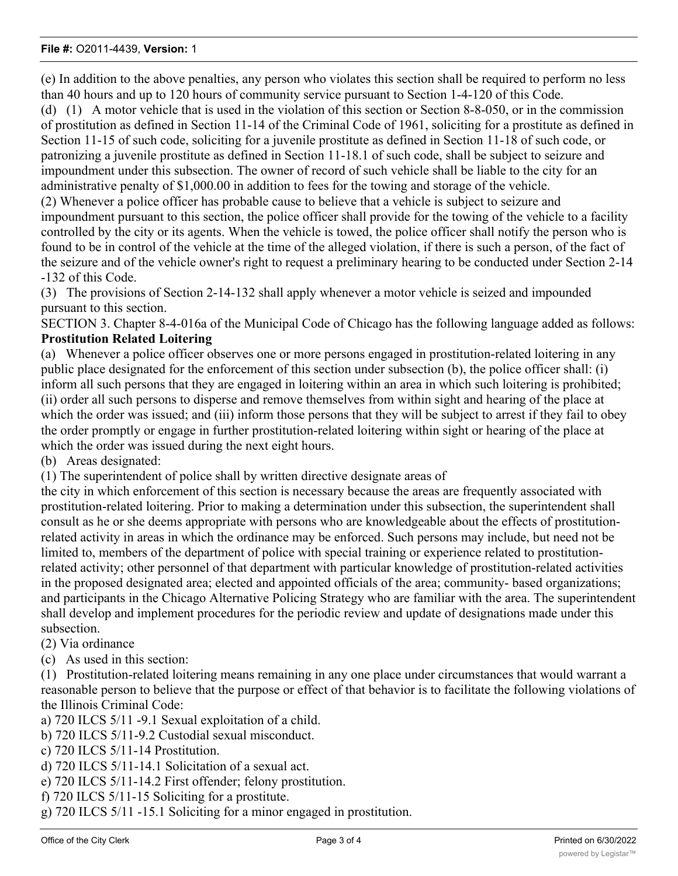(e) In addition to the above penalties, any person who violates this section shall be required to perform no less than 40 hours and up to 120 hours of community service pursuant to Section 1-4-120 of this Code.

(d) (1) A motor vehicle that is used in the violation of this section or Section 8-8-050, or in the commission of prostitution as defined in Section 11-14 of the Criminal Code of 1961, soliciting for a prostitute as defined in Section 11-15 of such code, soliciting for a juvenile prostitute as defined in Section 11-18 of such code, or patronizing a juvenile prostitute as defined in Section 11-18.1 of such code, shall be subject to seizure and impoundment under this subsection. The owner of record of such vehicle shall be liable to the city for an administrative penalty of \$1,000.00 in addition to fees for the towing and storage of the vehicle.

(2) Whenever a police officer has probable cause to believe that a vehicle is subject to seizure and impoundment pursuant to this section, the police officer shall provide for the towing of the vehicle to a facility controlled by the city or its agents. When the vehicle is towed, the police officer shall notify the person who is found to be in control of the vehicle at the time of the alleged violation, if there is such a person, of the fact of the seizure and of the vehicle owner's right to request a preliminary hearing to be conducted under Section 2-14 -132 of this Code.

(3) The provisions of Section 2-14-132 shall apply whenever a motor vehicle is seized and impounded pursuant to this section.

SECTION 3. Chapter 8-4-016a of the Municipal Code of Chicago has the following language added as follows: **Prostitution Related Loitering**

(a) Whenever a police officer observes one or more persons engaged in prostitution-related loitering in any public place designated for the enforcement of this section under subsection (b), the police officer shall: (i) inform all such persons that they are engaged in loitering within an area in which such loitering is prohibited; (ii) order all such persons to disperse and remove themselves from within sight and hearing of the place at which the order was issued; and (iii) inform those persons that they will be subject to arrest if they fail to obey the order promptly or engage in further prostitution-related loitering within sight or hearing of the place at which the order was issued during the next eight hours.

(b) Areas designated:

(1) The superintendent of police shall by written directive designate areas of

the city in which enforcement of this section is necessary because the areas are frequently associated with prostitution-related loitering. Prior to making a determination under this subsection, the superintendent shall consult as he or she deems appropriate with persons who are knowledgeable about the effects of prostitutionrelated activity in areas in which the ordinance may be enforced. Such persons may include, but need not be limited to, members of the department of police with special training or experience related to prostitutionrelated activity; other personnel of that department with particular knowledge of prostitution-related activities in the proposed designated area; elected and appointed officials of the area; community- based organizations; and participants in the Chicago Alternative Policing Strategy who are familiar with the area. The superintendent shall develop and implement procedures for the periodic review and update of designations made under this subsection.

(2) Via ordinance

(c) As used in this section:

(1) Prostitution-related loitering means remaining in any one place under circumstances that would warrant a reasonable person to believe that the purpose or effect of that behavior is to facilitate the following violations of the Illinois Criminal Code:

a) 720 ILCS 5/11 -9.1 Sexual exploitation of a child.

- b) 720 ILCS 5/11-9.2 Custodial sexual misconduct.
- c) 720 ILCS 5/11-14 Prostitution.
- d) 720 ILCS 5/11-14.1 Solicitation of a sexual act.
- e) 720 ILCS 5/11-14.2 First offender; felony prostitution.
- f) 720 ILCS 5/11-15 Soliciting for a prostitute.
- g) 720 ILCS 5/11 -15.1 Soliciting for a minor engaged in prostitution.